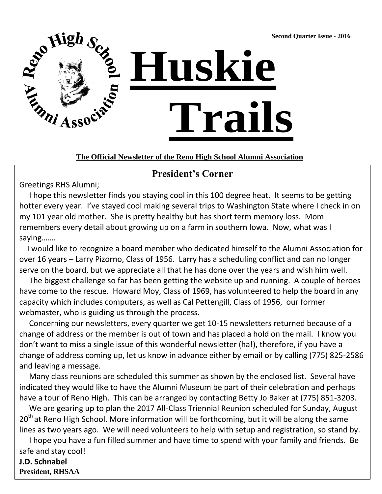**Second Quarter Issue - 2016**



### **The Official Newsletter of the Reno High School Alumni Association**

## **President's Corner**

Greetings RHS Alumni;

 I hope this newsletter finds you staying cool in this 100 degree heat. It seems to be getting hotter every year. I've stayed cool making several trips to Washington State where I check in on my 101 year old mother. She is pretty healthy but has short term memory loss. Mom remembers every detail about growing up on a farm in southern Iowa. Now, what was I saying…….

 I would like to recognize a board member who dedicated himself to the Alumni Association for over 16 years – Larry Pizorno, Class of 1956. Larry has a scheduling conflict and can no longer serve on the board, but we appreciate all that he has done over the years and wish him well.

 The biggest challenge so far has been getting the website up and running. A couple of heroes have come to the rescue. Howard Moy, Class of 1969, has volunteered to help the board in any capacity which includes computers, as well as Cal Pettengill, Class of 1956, our former webmaster, who is guiding us through the process.

 Concerning our newsletters, every quarter we get 10-15 newsletters returned because of a change of address or the member is out of town and has placed a hold on the mail. I know you don't want to miss a single issue of this wonderful newsletter (ha!), therefore, if you have a change of address coming up, let us know in advance either by email or by calling (775) 825-2586 and leaving a message.

 Many class reunions are scheduled this summer as shown by the enclosed list. Several have indicated they would like to have the Alumni Museum be part of their celebration and perhaps have a tour of Reno High. This can be arranged by contacting Betty Jo Baker at (775) 851-3203.

 We are gearing up to plan the 2017 All-Class Triennial Reunion scheduled for Sunday, August  $20<sup>th</sup>$  at Reno High School. More information will be forthcoming, but it will be along the same lines as two years ago. We will need volunteers to help with setup and registration, so stand by.

 I hope you have a fun filled summer and have time to spend with your family and friends. Be safe and stay cool!

**J.D. Schnabel President, RHSAA**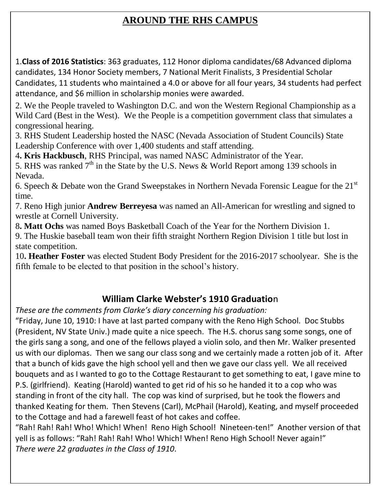# **AROUND THE RHS CAMPUS**

1.**Class of 2016 Statistics**: 363 graduates, 112 Honor diploma candidates/68 Advanced diploma candidates, 134 Honor Society members, 7 National Merit Finalists, 3 Presidential Scholar Candidates, 11 students who maintained a 4.0 or above for all four years, 34 students had perfect attendance, and \$6 million in scholarship monies were awarded.

2. We the People traveled to Washington D.C. and won the Western Regional Championship as a Wild Card (Best in the West). We the People is a competition government class that simulates a congressional hearing.

3. RHS Student Leadership hosted the NASC (Nevada Association of Student Councils) State Leadership Conference with over 1,400 students and staff attending.

4**. Kris Hackbusch**, RHS Principal, was named NASC Administrator of the Year.

5. RHS was ranked  $7<sup>th</sup>$  in the State by the U.S. News & World Report among 139 schools in Nevada.

6. Speech & Debate won the Grand Sweepstakes in Northern Nevada Forensic League for the  $21<sup>st</sup>$ time.

7. Reno High junior **Andrew Berreyesa** was named an All-American for wrestling and signed to wrestle at Cornell University.

8**. Matt Ochs** was named Boys Basketball Coach of the Year for the Northern Division 1.

9. The Huskie baseball team won their fifth straight Northern Region Division 1 title but lost in state competition.

10**. Heather Foster** was elected Student Body President for the 2016-2017 schoolyear. She is the fifth female to be elected to that position in the school's history.

# **William Clarke Webster's 1910 Graduatio**n

*These are the comments from Clarke's diary concerning his graduation:*

"Friday, June 10, 1910: I have at last parted company with the Reno High School. Doc Stubbs (President, NV State Univ.) made quite a nice speech. The H.S. chorus sang some songs, one of the girls sang a song, and one of the fellows played a violin solo, and then Mr. Walker presented us with our diplomas. Then we sang our class song and we certainly made a rotten job of it. After that a bunch of kids gave the high school yell and then we gave our class yell. We all received bouquets and as I wanted to go to the Cottage Restaurant to get something to eat, I gave mine to P.S. (girlfriend). Keating (Harold) wanted to get rid of his so he handed it to a cop who was standing in front of the city hall. The cop was kind of surprised, but he took the flowers and thanked Keating for them. Then Stevens (Carl), McPhail (Harold), Keating, and myself proceeded to the Cottage and had a farewell feast of hot cakes and coffee.

"Rah! Rah! Rah! Who! Which! When! Reno High School! Nineteen-ten!" Another version of that yell is as follows: "Rah! Rah! Rah! Who! Which! When! Reno High School! Never again!" *There were 22 graduates in the Class of 1910*.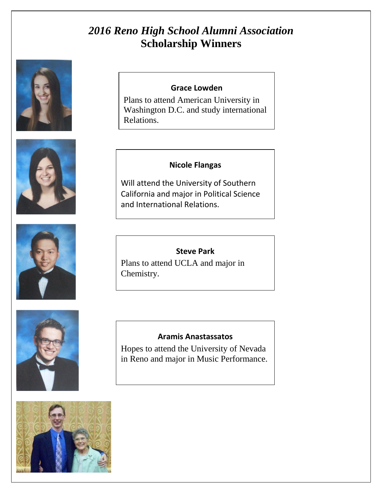# *2016 Reno High School Alumni Association* **Scholarship Winners**







### **Grace Lowden**

Plans to attend American University in Washington D.C. and study international Relations.

### **Nicole Flangas**

Will attend the University of Southern California and major in Political Science and International Relations.

### **Steve Park**

Plans to attend UCLA and major in Chemistry.

#### **Aramis Anastassatos**

Hopes to attend the University of Nevada in Reno and major in Music Performance.

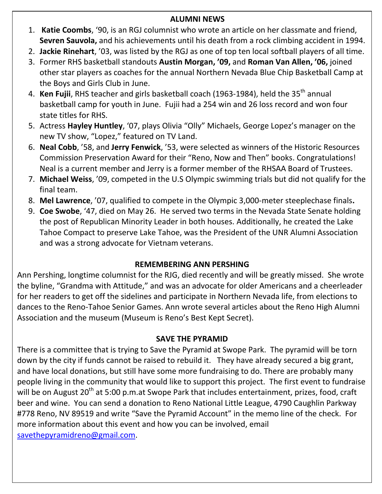### **ALUMNI NEWS**

- 1. **Katie Coombs**, '90, is an RGJ columnist who wrote an article on her classmate and friend, **Sevren Sauvola,** and his achievements until his death from a rock climbing accident in 1994.
- 2. **Jackie Rinehart**, '03, was listed by the RGJ as one of top ten local softball players of all time.
- 3. Former RHS basketball standouts **Austin Morgan, '09,** and **Roman Van Allen, '06,** joined other star players as coaches for the annual Northern Nevada Blue Chip Basketball Camp at the Boys and Girls Club in June.
- 4. **Ken Fujii**, RHS teacher and girls basketball coach (1963-1984), held the 35<sup>th</sup> annual basketball camp for youth in June. Fujii had a 254 win and 26 loss record and won four state titles for RHS.
- 5. Actress **Hayley Huntley**, '07, plays Olivia "Olly" Michaels, George Lopez's manager on the new TV show, "Lopez," featured on TV Land.
- 6. **Neal Cobb**, '58, and **Jerry Fenwick**, '53, were selected as winners of the Historic Resources Commission Preservation Award for their "Reno, Now and Then" books. Congratulations! Neal is a current member and Jerry is a former member of the RHSAA Board of Trustees.
- 7. **Michael Weiss**, '09, competed in the U.S Olympic swimming trials but did not qualify for the final team.
- 8. Mel Lawrence, '07, qualified to compete in the Olympic 3,000-meter steeplechase finals.
- 9. Coe Swobe, '47, died on May 26. He served two terms in the Nevada State Senate holding the post of Republican Minority Leader in both houses. Additionally, he created the Lake Tahoe Compact to preserve Lake Tahoe, was the President of the UNR Alumni Association and was a strong advocate for Vietnam veterans.

#### 1952 – 64 Years Decker **REMEMBERING ANN PERSHING**

Ann Pershing, longtime columnist for the RJG, died recently and will be greatly missed. She wrote the byline, "Grandma with Attitude," and was an advocate for older Americans and a cheerleader for her readers to get off the sidelines and participate in Northern Nevada life, from elections to dances to the Reno-Tahoe Senior Games. Ann wrote several articles about the Reno High Alumni Association and the museum (Museum is Reno's Best Kept Secret).

### **SAVE THE PYRAMID**

will be on August 20<sup>er</sup> at 5:00 p.m.at Swope Park that includes entertainment, prizes, food, craft<br>beer and wine. You can send a donation to Reno National Little League, 4790 Caughlin Parkway eddition. The trind the distinctive a denominative redictional dittie decigaty that decignmit chinnery.<br>#778 Reno, NV 89519 and write "Save the Pyramid Account" in the memo line of the check. For more information about this event and how you can be involved, email  $\overline{\text{save}$  the pyramidreno@gmail.com. There is a committee that is trying to Save the Pyramid at Swope Park. The pyramid will be torn down by the city if funds cannot be raised to rebuild it. They have already secured a big grant, and have local donations, but still have some more fundraising to do. There are probably many people living in the community that would like to support this project. The first event to fundraise will be on August 20<sup>th</sup> at 5:00 p.m.at Swope Park that includes entertainment, prizes, food, craft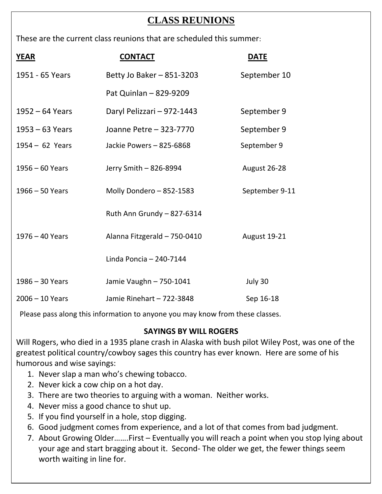# **CLASS REUNIONS**

These are the current class reunions that are scheduled this summer:

| <b>YEAR</b>       | <b>CONTACT</b>               | <b>DATE</b>         |
|-------------------|------------------------------|---------------------|
| 1951 - 65 Years   | Betty Jo Baker - 851-3203    | September 10        |
|                   | Pat Quinlan - 829-9209       |                     |
| $1952 - 64$ Years | Daryl Pelizzari - 972-1443   | September 9         |
| $1953 - 63$ Years | Joanne Petre - 323-7770      | September 9         |
| $1954 - 62$ Years | Jackie Powers - 825-6868     | September 9         |
| $1956 - 60$ Years | Jerry Smith - 826-8994       | August 26-28        |
| $1966 - 50$ Years | Molly Dondero - 852-1583     | September 9-11      |
|                   | Ruth Ann Grundy - 827-6314   |                     |
| $1976 - 40$ Years | Alanna Fitzgerald - 750-0410 | <b>August 19-21</b> |
|                   | Linda Poncia - 240-7144      |                     |
| $1986 - 30$ Years | Jamie Vaughn - 750-1041      | July 30             |
| $2006 - 10$ Years | Jamie Rinehart - 722-3848    | Sep 16-18           |

Please pass along this information to anyone you may know from these classes.

### **SAYINGS BY WILL ROGERS**

Will Rogers, who died in a 1935 plane crash in Alaska with bush pilot Wiley Post, was one of the greatest political country/cowboy sages this country has ever known. Here are some of his humorous and wise sayings:

- 1. Never slap a man who's chewing tobacco.
- 2. Never kick a cow chip on a hot day.
- 3. There are two theories to arguing with a woman. Neither works.
- 4. Never miss a good chance to shut up.
- 5. If you find yourself in a hole, stop digging.
- 6. Good judgment comes from experience, and a lot of that comes from bad judgment.
- 7. About Growing Older…….First Eventually you will reach a point when you stop lying about your age and start bragging about it. Second- The older we get, the fewer things seem worth waiting in line for.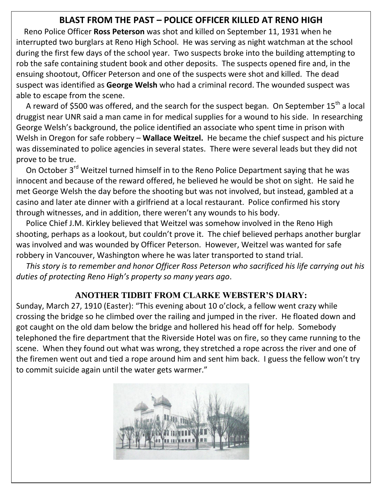## **BLAST FROM THE PAST – POLICE OFFICER KILLED AT RENO HIGH**

 Reno Police Officer **Ross Peterson** was shot and killed on September 11, 1931 when he interrupted two burglars at Reno High School. He was serving as night watchman at the school during the first few days of the school year. Two suspects broke into the building attempting to rob the safe containing student book and other deposits. The suspects opened fire and, in the ensuing shootout, Officer Peterson and one of the suspects were shot and killed. The dead suspect was identified as **George Welsh** who had a criminal record. The wounded suspect was able to escape from the scene.

A reward of \$500 was offered, and the search for the suspect began. On September 15<sup>th</sup> a local druggist near UNR said a man came in for medical supplies for a wound to his side. In researching George Welsh's background, the police identified an associate who spent time in prison with Welsh in Oregon for safe robbery – **Wallace Weitzel.** He became the chief suspect and his picture was disseminated to police agencies in several states. There were several leads but they did not prove to be true.

On October 3<sup>rd</sup> Weitzel turned himself in to the Reno Police Department saying that he was innocent and because of the reward offered, he believed he would be shot on sight. He said he met George Welsh the day before the shooting but was not involved, but instead, gambled at a casino and later ate dinner with a girlfriend at a local restaurant. Police confirmed his story through witnesses, and in addition, there weren't any wounds to his body.

 Police Chief J.M. Kirkley believed that Weitzel was somehow involved in the Reno High shooting, perhaps as a lookout, but couldn't prove it. The chief believed perhaps another burglar was involved and was wounded by Officer Peterson. However, Weitzel was wanted for safe robbery in Vancouver, Washington where he was later transported to stand trial.

 *This story is to remember and honor Officer Ross Peterson who sacrificed his life carrying out his duties of protecting Reno High's property so many years ago*.

# **ANOTHER TIDBIT FROM CLARKE WEBSTER'S DIARY:**

Sunday, March 27, 1910 (Easter): "This evening about 10 o'clock, a fellow went crazy while crossing the bridge so he climbed over the railing and jumped in the river. He floated down and got caught on the old dam below the bridge and hollered his head off for help. Somebody telephoned the fire department that the Riverside Hotel was on fire, so they came running to the scene. When they found out what was wrong, they stretched a rope across the river and one of the firemen went out and tied a rope around him and sent him back. I guess the fellow won't try to commit suicide again until the water gets warmer."

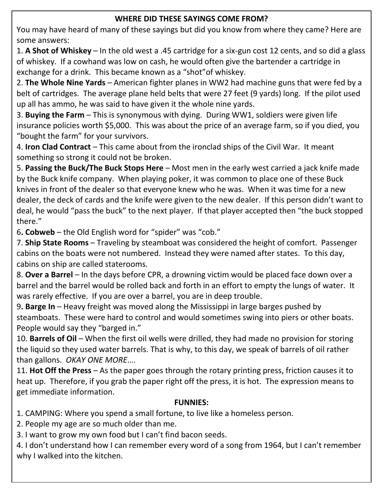### **WHERE DID THESE SAYINGS COME FROM?**

You may have heard of many of these sayings but did you know from where they came? Here are some answers:

1. **A Shot of Whiskey** – In the old west a .45 cartridge for a six-gun cost 12 cents, and so did a glass of whiskey. If a cowhand was low on cash, he would often give the bartender a cartridge in exchange for a drink. This became known as a "shot"of whiskey.

2. **The Whole Nine Yards** – American fighter planes in WW2 had machine guns that were fed by a belt of cartridges. The average plane held belts that were 27 feet (9 yards) long. If the pilot used up all has ammo, he was said to have given it the whole nine yards.

3. **Buying the Farm** – This is synonymous with dying. During WW1, soldiers were given life insurance policies worth \$5,000. This was about the price of an average farm, so if you died, you "bought the farm" for your survivors.

4. **Iron Clad Contract** – This came about from the ironclad ships of the Civil War. It meant something so strong it could not be broken.

5. **Passing the Buck/The Buck Stops Here** – Most men in the early west carried a jack knife made by the Buck knife company. When playing poker, it was common to place one of these Buck knives in front of the dealer so that everyone knew who he was. When it was time for a new dealer, the deck of cards and the knife were given to the new dealer. If this person didn't want to deal, he would "pass the buck" to the next player. If that player accepted then "the buck stopped there."

6**. Cobweb** – the Old English word for "spider" was "cob."

7. **Ship State Rooms** – Traveling by steamboat was considered the height of comfort. Passenger cabins on the boats were not numbered. Instead they were named after states. To this day, cabins on ship are called staterooms.

8. **Over a Barrel** – In the days before CPR, a drowning victim would be placed face down over a barrel and the barrel would be rolled back and forth in an effort to empty the lungs of water. It was rarely effective. If you are over a barrel, you are in deep trouble.

9**. Barge In** – Heavy freight was moved along the Mississippi in large barges pushed by steamboats. These were hard to control and would sometimes swing into piers or other boats. People would say they "barged in."

10. **Barrels of Oil** – When the first oil wells were drilled, they had made no provision for storing the liquid so they used water barrels. That is why, to this day, we speak of barrels of oil rather than gallons. *OKAY ONE MORE*….

11. **Hot Off the Press** – As the paper goes through the rotary printing press, friction causes it to heat up. Therefore, if you grab the paper right off the press, it is hot. The expression means to get immediate information.

### **FUNNIES:**

1. CAMPING: Where you spend a small fortune, to live like a homeless person.

2. People my age are so much older than me.

3. I want to grow my own food but I can't find bacon seeds.

4. I don't understand how I can remember every word of a song from 1964, but I can't remember why I walked into the kitchen.